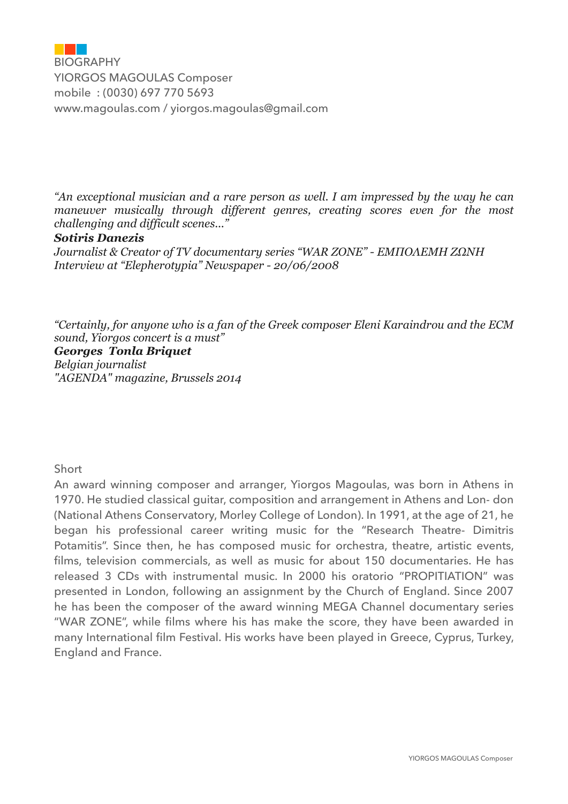

*"An exceptional musician and a rare person as well. I am impressed by the way he can maneuver musically through different genres, creating scores even for the most challenging and difficult scenes..."* 

## *Sotiris Danezis*

*Journalist & Creator of TV documentary series "WAR ZONE" - ΕΜΠΟΛΕΜΗ ΖΩΝΗ Interview at "Elepherotypia" Newspaper - 20/06/2008*

*"Certainly, for anyone who is a fan of the Greek composer Eleni Karaindrou and the ECM sound, Yiorgos concert is a must" Georges Tonla Briquet Belgian journalist "AGENDA" magazine, Brussels 2014*

## Short

An award winning composer and arranger, Yiorgos Magoulas, was born in Athens in 1970. He studied classical guitar, composition and arrangement in Athens and Lon- don (National Athens Conservatory, Morley College of London). In 1991, at the age of 21, he began his professional career writing music for the "Research Theatre- Dimitris Potamitis". Since then, he has composed music for orchestra, theatre, artistic events, films, television commercials, as well as music for about 150 documentaries. He has released 3 CDs with instrumental music. In 2000 his oratorio "PROPITIATION" was presented in London, following an assignment by the Church of England. Since 2007 he has been the composer of the award winning MEGA Channel documentary series "WAR ZONE", while films where his has make the score, they have been awarded in many International film Festival. His works have been played in Greece, Cyprus, Turkey, England and France.